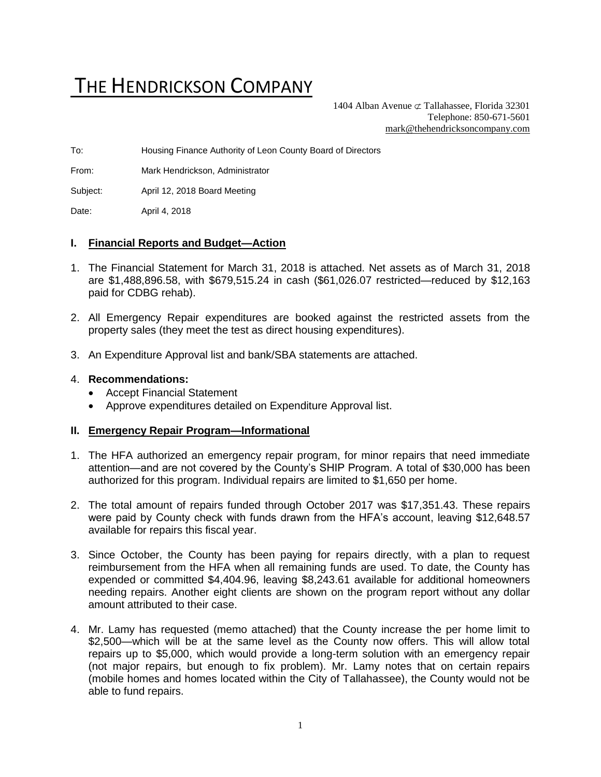# THE HENDRICKSON COMPANY

1404 Alban Avenue  $\subset \text{Tallahasse}$ , Florida 32301 Telephone: 850-671-5601 [mark@thehendricksoncompany.com](mailto:mark@thehendricksoncompany.com)

To: Housing Finance Authority of Leon County Board of Directors

From: Mark Hendrickson, Administrator

Subject: April 12, 2018 Board Meeting

Date: April 4, 2018

#### **I. Financial Reports and Budget—Action**

- 1. The Financial Statement for March 31, 2018 is attached. Net assets as of March 31, 2018 are \$1,488,896.58, with \$679,515.24 in cash (\$61,026.07 restricted—reduced by \$12,163 paid for CDBG rehab).
- 2. All Emergency Repair expenditures are booked against the restricted assets from the property sales (they meet the test as direct housing expenditures).
- 3. An Expenditure Approval list and bank/SBA statements are attached.

#### 4. **Recommendations:**

- Accept Financial Statement
- Approve expenditures detailed on Expenditure Approval list.

#### **II. Emergency Repair Program—Informational**

- 1. The HFA authorized an emergency repair program, for minor repairs that need immediate attention—and are not covered by the County's SHIP Program. A total of \$30,000 has been authorized for this program. Individual repairs are limited to \$1,650 per home.
- 2. The total amount of repairs funded through October 2017 was \$17,351.43. These repairs were paid by County check with funds drawn from the HFA's account, leaving \$12,648.57 available for repairs this fiscal year.
- 3. Since October, the County has been paying for repairs directly, with a plan to request reimbursement from the HFA when all remaining funds are used. To date, the County has expended or committed \$4,404.96, leaving \$8,243.61 available for additional homeowners needing repairs. Another eight clients are shown on the program report without any dollar amount attributed to their case.
- 4. Mr. Lamy has requested (memo attached) that the County increase the per home limit to \$2,500—which will be at the same level as the County now offers. This will allow total repairs up to \$5,000, which would provide a long-term solution with an emergency repair (not major repairs, but enough to fix problem). Mr. Lamy notes that on certain repairs (mobile homes and homes located within the City of Tallahassee), the County would not be able to fund repairs.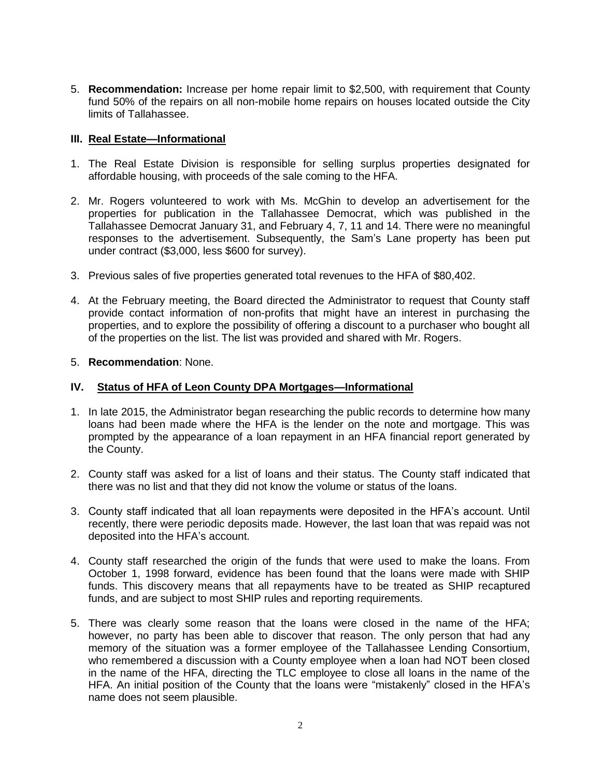5. **Recommendation:** Increase per home repair limit to \$2,500, with requirement that County fund 50% of the repairs on all non-mobile home repairs on houses located outside the City limits of Tallahassee.

#### **III. Real Estate—Informational**

- 1. The Real Estate Division is responsible for selling surplus properties designated for affordable housing, with proceeds of the sale coming to the HFA.
- 2. Mr. Rogers volunteered to work with Ms. McGhin to develop an advertisement for the properties for publication in the Tallahassee Democrat, which was published in the Tallahassee Democrat January 31, and February 4, 7, 11 and 14. There were no meaningful responses to the advertisement. Subsequently, the Sam's Lane property has been put under contract (\$3,000, less \$600 for survey).
- 3. Previous sales of five properties generated total revenues to the HFA of \$80,402.
- 4. At the February meeting, the Board directed the Administrator to request that County staff provide contact information of non-profits that might have an interest in purchasing the properties, and to explore the possibility of offering a discount to a purchaser who bought all of the properties on the list. The list was provided and shared with Mr. Rogers.

#### 5. **Recommendation**: None.

#### **IV. Status of HFA of Leon County DPA Mortgages—Informational**

- 1. In late 2015, the Administrator began researching the public records to determine how many loans had been made where the HFA is the lender on the note and mortgage. This was prompted by the appearance of a loan repayment in an HFA financial report generated by the County.
- 2. County staff was asked for a list of loans and their status. The County staff indicated that there was no list and that they did not know the volume or status of the loans.
- 3. County staff indicated that all loan repayments were deposited in the HFA's account. Until recently, there were periodic deposits made. However, the last loan that was repaid was not deposited into the HFA's account.
- 4. County staff researched the origin of the funds that were used to make the loans. From October 1, 1998 forward, evidence has been found that the loans were made with SHIP funds. This discovery means that all repayments have to be treated as SHIP recaptured funds, and are subject to most SHIP rules and reporting requirements.
- 5. There was clearly some reason that the loans were closed in the name of the HFA; however, no party has been able to discover that reason. The only person that had any memory of the situation was a former employee of the Tallahassee Lending Consortium, who remembered a discussion with a County employee when a loan had NOT been closed in the name of the HFA, directing the TLC employee to close all loans in the name of the HFA. An initial position of the County that the loans were "mistakenly" closed in the HFA's name does not seem plausible.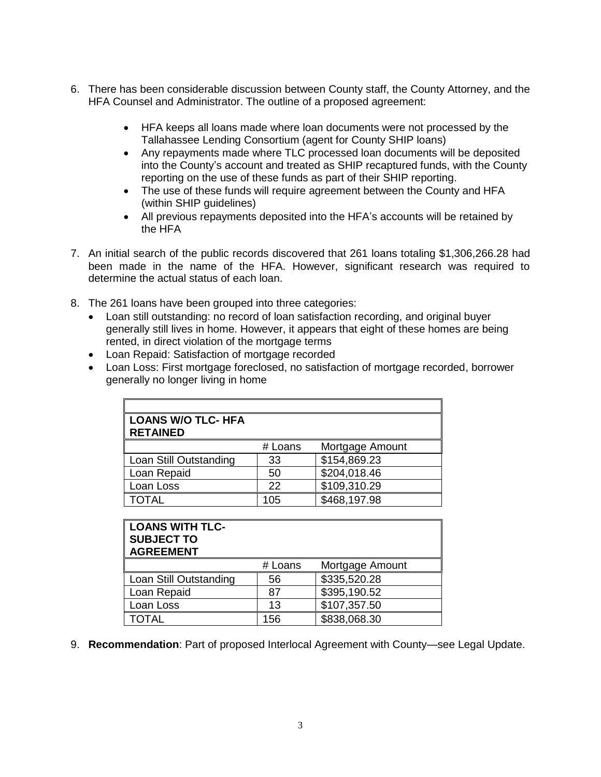- 6. There has been considerable discussion between County staff, the County Attorney, and the HFA Counsel and Administrator. The outline of a proposed agreement:
	- HFA keeps all loans made where loan documents were not processed by the Tallahassee Lending Consortium (agent for County SHIP loans)
	- Any repayments made where TLC processed loan documents will be deposited into the County's account and treated as SHIP recaptured funds, with the County reporting on the use of these funds as part of their SHIP reporting.
	- The use of these funds will require agreement between the County and HFA (within SHIP guidelines)
	- All previous repayments deposited into the HFA's accounts will be retained by the HFA
- 7. An initial search of the public records discovered that 261 loans totaling \$1,306,266.28 had been made in the name of the HFA. However, significant research was required to determine the actual status of each loan.
- 8. The 261 loans have been grouped into three categories:
	- Loan still outstanding: no record of loan satisfaction recording, and original buyer generally still lives in home. However, it appears that eight of these homes are being rented, in direct violation of the mortgage terms
	- Loan Repaid: Satisfaction of mortgage recorded
	- Loan Loss: First mortgage foreclosed, no satisfaction of mortgage recorded, borrower generally no longer living in home

| <b>LOANS W/O TLC- HFA</b><br><b>RETAINED</b> |         |                 |
|----------------------------------------------|---------|-----------------|
|                                              | # Loans | Mortgage Amount |
| Loan Still Outstanding                       | 33      | \$154,869.23    |
| Loan Repaid                                  | 50      | \$204,018.46    |
| Loan Loss                                    | 22      | \$109,310.29    |
| TOTAL                                        | 105     | \$468,197.98    |

| <b>LOANS WITH TLC-</b><br><b>SUBJECT TO</b><br><b>AGREEMENT</b> |         |                 |
|-----------------------------------------------------------------|---------|-----------------|
|                                                                 | # Loans | Mortgage Amount |
| Loan Still Outstanding                                          | 56      | \$335,520.28    |
| Loan Repaid                                                     | 87      | \$395,190.52    |
| Loan Loss                                                       | 13      | \$107,357.50    |
| <b>TOTAL</b>                                                    | 156     | \$838,068.30    |

9. **Recommendation**: Part of proposed Interlocal Agreement with County—see Legal Update.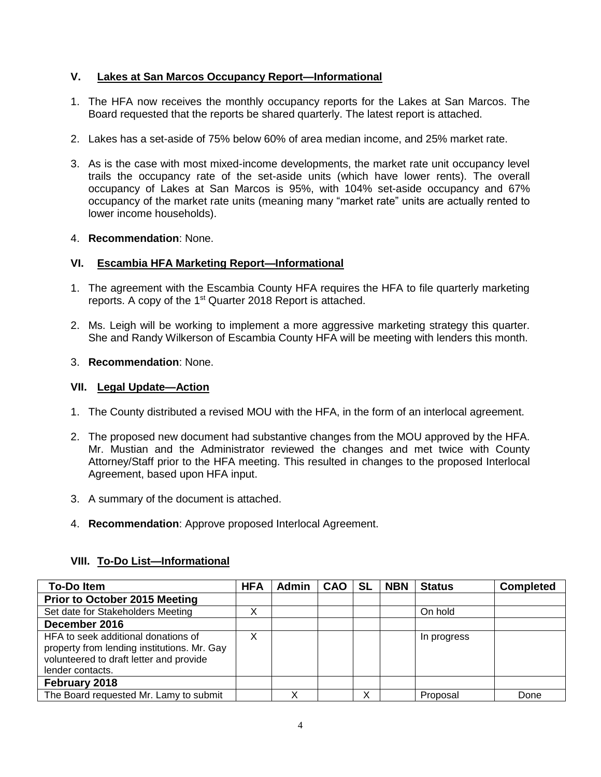# **V. Lakes at San Marcos Occupancy Report—Informational**

- 1. The HFA now receives the monthly occupancy reports for the Lakes at San Marcos. The Board requested that the reports be shared quarterly. The latest report is attached.
- 2. Lakes has a set-aside of 75% below 60% of area median income, and 25% market rate.
- 3. As is the case with most mixed-income developments, the market rate unit occupancy level trails the occupancy rate of the set-aside units (which have lower rents). The overall occupancy of Lakes at San Marcos is 95%, with 104% set-aside occupancy and 67% occupancy of the market rate units (meaning many "market rate" units are actually rented to lower income households).

#### 4. **Recommendation**: None.

## **VI. Escambia HFA Marketing Report—Informational**

- 1. The agreement with the Escambia County HFA requires the HFA to file quarterly marketing reports. A copy of the 1<sup>st</sup> Quarter 2018 Report is attached.
- 2. Ms. Leigh will be working to implement a more aggressive marketing strategy this quarter. She and Randy Wilkerson of Escambia County HFA will be meeting with lenders this month.

#### 3. **Recommendation**: None.

#### **VII. Legal Update—Action**

- 1. The County distributed a revised MOU with the HFA, in the form of an interlocal agreement.
- 2. The proposed new document had substantive changes from the MOU approved by the HFA. Mr. Mustian and the Administrator reviewed the changes and met twice with County Attorney/Staff prior to the HFA meeting. This resulted in changes to the proposed Interlocal Agreement, based upon HFA input.
- 3. A summary of the document is attached.
- 4. **Recommendation**: Approve proposed Interlocal Agreement.

# **VIII. To-Do List—Informational**

| <b>To-Do Item</b>                                                                                                                                 | <b>HFA</b> | Admin | <b>CAO</b> | <b>SL</b> | <b>NBN</b> | <b>Status</b> | <b>Completed</b> |
|---------------------------------------------------------------------------------------------------------------------------------------------------|------------|-------|------------|-----------|------------|---------------|------------------|
| <b>Prior to October 2015 Meeting</b>                                                                                                              |            |       |            |           |            |               |                  |
| Set date for Stakeholders Meeting                                                                                                                 | X          |       |            |           |            | On hold       |                  |
| December 2016                                                                                                                                     |            |       |            |           |            |               |                  |
| HFA to seek additional donations of<br>property from lending institutions. Mr. Gay<br>volunteered to draft letter and provide<br>lender contacts. | Χ          |       |            |           |            | In progress   |                  |
| February 2018                                                                                                                                     |            |       |            |           |            |               |                  |
| The Board requested Mr. Lamy to submit                                                                                                            |            | ◡     |            |           |            | Proposal      | Done             |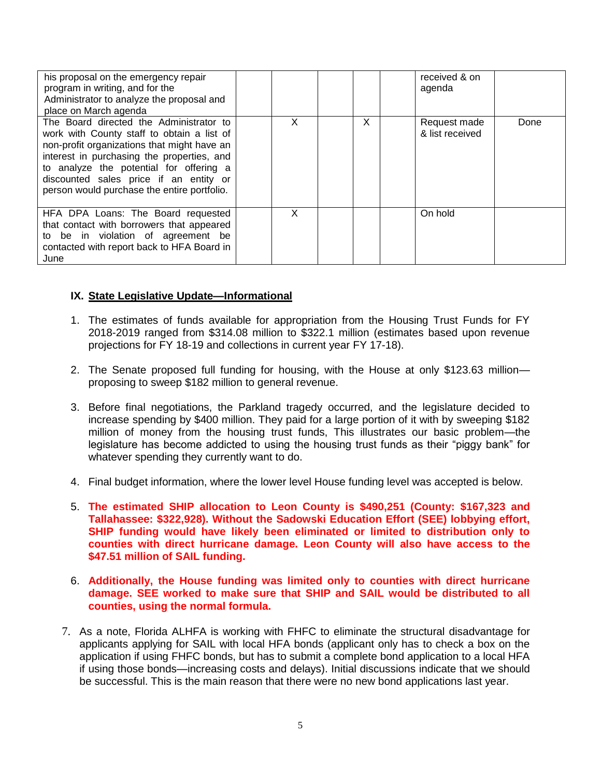| his proposal on the emergency repair<br>program in writing, and for the<br>Administrator to analyze the proposal and<br>place on March agenda                                                                                                                                                                          |   |   | received & on<br>agenda         |      |
|------------------------------------------------------------------------------------------------------------------------------------------------------------------------------------------------------------------------------------------------------------------------------------------------------------------------|---|---|---------------------------------|------|
| The Board directed the Administrator to<br>work with County staff to obtain a list of<br>non-profit organizations that might have an<br>interest in purchasing the properties, and<br>to analyze the potential for offering a<br>discounted sales price if an entity or<br>person would purchase the entire portfolio. | X | X | Request made<br>& list received | Done |
| HFA DPA Loans: The Board requested<br>that contact with borrowers that appeared<br>to be in violation of agreement be<br>contacted with report back to HFA Board in<br>June                                                                                                                                            | x |   | On hold                         |      |

## **IX. State Legislative Update—Informational**

- 1. The estimates of funds available for appropriation from the Housing Trust Funds for FY 2018-2019 ranged from \$314.08 million to \$322.1 million (estimates based upon revenue projections for FY 18-19 and collections in current year FY 17-18).
- 2. The Senate proposed full funding for housing, with the House at only \$123.63 million proposing to sweep \$182 million to general revenue.
- 3. Before final negotiations, the Parkland tragedy occurred, and the legislature decided to increase spending by \$400 million. They paid for a large portion of it with by sweeping \$182 million of money from the housing trust funds, This illustrates our basic problem—the legislature has become addicted to using the housing trust funds as their "piggy bank" for whatever spending they currently want to do.
- 4. Final budget information, where the lower level House funding level was accepted is below.
- 5. **The estimated SHIP allocation to Leon County is \$490,251 (County: \$167,323 and Tallahassee: \$322,928). Without the Sadowski Education Effort (SEE) lobbying effort, SHIP funding would have likely been eliminated or limited to distribution only to counties with direct hurricane damage. Leon County will also have access to the \$47.51 million of SAIL funding.**
- 6. **Additionally, the House funding was limited only to counties with direct hurricane damage. SEE worked to make sure that SHIP and SAIL would be distributed to all counties, using the normal formula.**
- 7. As a note, Florida ALHFA is working with FHFC to eliminate the structural disadvantage for applicants applying for SAIL with local HFA bonds (applicant only has to check a box on the application if using FHFC bonds, but has to submit a complete bond application to a local HFA if using those bonds—increasing costs and delays). Initial discussions indicate that we should be successful. This is the main reason that there were no new bond applications last year.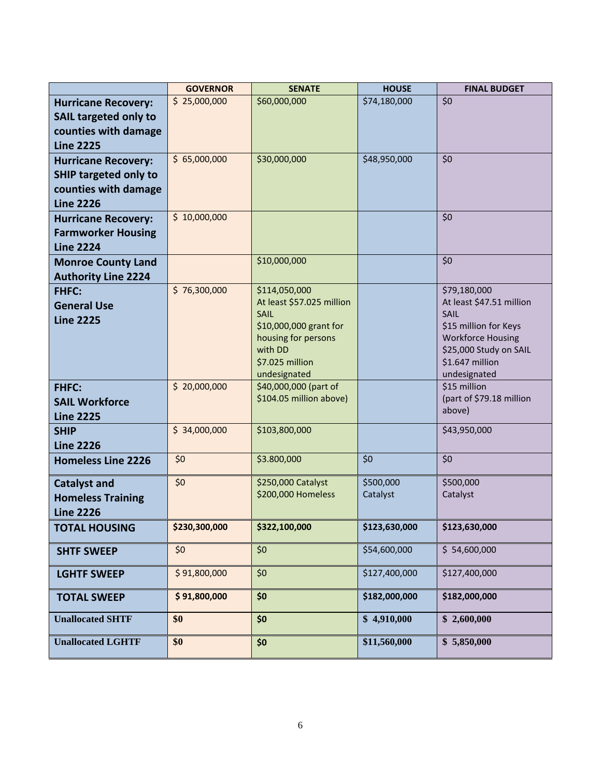|                              | <b>GOVERNOR</b> | <b>SENATE</b>                                 | <b>HOUSE</b>  | <b>FINAL BUDGET</b>                               |
|------------------------------|-----------------|-----------------------------------------------|---------------|---------------------------------------------------|
| <b>Hurricane Recovery:</b>   | \$25,000,000    | \$60,000,000                                  | \$74,180,000  | \$0                                               |
| <b>SAIL targeted only to</b> |                 |                                               |               |                                                   |
| counties with damage         |                 |                                               |               |                                                   |
| <b>Line 2225</b>             |                 |                                               |               |                                                   |
| <b>Hurricane Recovery:</b>   | \$65,000,000    | \$30,000,000                                  | \$48,950,000  | \$0                                               |
| <b>SHIP targeted only to</b> |                 |                                               |               |                                                   |
| counties with damage         |                 |                                               |               |                                                   |
| <b>Line 2226</b>             |                 |                                               |               |                                                   |
| <b>Hurricane Recovery:</b>   | \$10,000,000    |                                               |               | \$0                                               |
| <b>Farmworker Housing</b>    |                 |                                               |               |                                                   |
| <b>Line 2224</b>             |                 |                                               |               |                                                   |
| <b>Monroe County Land</b>    |                 | \$10,000,000                                  |               | \$0                                               |
| <b>Authority Line 2224</b>   |                 |                                               |               |                                                   |
| <b>FHFC:</b>                 | \$76,300,000    | \$114,050,000                                 |               | \$79,180,000                                      |
| <b>General Use</b>           |                 | At least \$57.025 million                     |               | At least \$47.51 million                          |
| <b>Line 2225</b>             |                 | <b>SAIL</b>                                   |               | SAIL                                              |
|                              |                 | \$10,000,000 grant for<br>housing for persons |               | \$15 million for Keys<br><b>Workforce Housing</b> |
|                              |                 | with DD                                       |               | \$25,000 Study on SAIL                            |
|                              |                 | \$7.025 million                               |               | \$1.647 million                                   |
|                              |                 | undesignated                                  |               | undesignated                                      |
| <b>FHFC:</b>                 | \$20,000,000    | \$40,000,000 (part of                         |               | \$15 million                                      |
| <b>SAIL Workforce</b>        |                 | \$104.05 million above)                       |               | (part of \$79.18 million                          |
| <b>Line 2225</b>             |                 |                                               |               | above)                                            |
| <b>SHIP</b>                  | \$34,000,000    | \$103,800,000                                 |               | \$43,950,000                                      |
| <b>Line 2226</b>             |                 |                                               |               |                                                   |
| <b>Homeless Line 2226</b>    | \$0             | \$3.800,000                                   | \$0           | \$0                                               |
| <b>Catalyst and</b>          | \$0             | \$250,000 Catalyst                            | \$500,000     | \$500,000                                         |
| <b>Homeless Training</b>     |                 | \$200,000 Homeless                            | Catalyst      | Catalyst                                          |
| <b>Line 2226</b>             |                 |                                               |               |                                                   |
| <b>TOTAL HOUSING</b>         | \$230,300,000   | \$322,100,000                                 | \$123,630,000 | \$123,630,000                                     |
| <b>SHTF SWEEP</b>            | \$0             | \$0                                           | \$54,600,000  | \$54,600,000                                      |
| <b>LGHTF SWEEP</b>           | \$91,800,000    | \$0                                           | \$127,400,000 | \$127,400,000                                     |
| <b>TOTAL SWEEP</b>           | \$91,800,000    | \$0                                           | \$182,000,000 | \$182,000,000                                     |
| <b>Unallocated SHTF</b>      | \$0             | \$0                                           | \$4,910,000   | \$2,600,000                                       |
| <b>Unallocated LGHTF</b>     | \$0             | \$0                                           | \$11,560,000  | \$5,850,000                                       |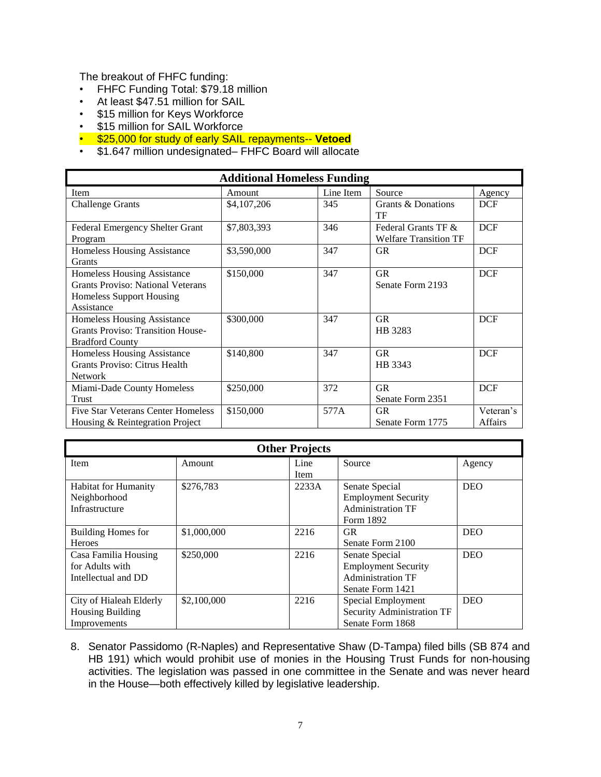The breakout of FHFC funding:

- FHFC Funding Total: \$79.18 million
- At least \$47.51 million for SAIL
- \$15 million for Keys Workforce
- \$15 million for SAIL Workforce
- \$25,000 for study of early SAIL repayments-- **Vetoed**
- \$1.647 million undesignated– FHFC Board will allocate

| <b>Additional Homeless Funding</b>                                                                                |             |           |                                                     |                      |  |  |
|-------------------------------------------------------------------------------------------------------------------|-------------|-----------|-----------------------------------------------------|----------------------|--|--|
| Item                                                                                                              | Amount      | Line Item | Source                                              | Agency               |  |  |
| <b>Challenge Grants</b>                                                                                           | \$4,107,206 | 345       | Grants & Donations<br>TF                            | <b>DCF</b>           |  |  |
| <b>Federal Emergency Shelter Grant</b><br>Program                                                                 | \$7,803,393 | 346       | Federal Grants TF &<br><b>Welfare Transition TF</b> | <b>DCF</b>           |  |  |
| Homeless Housing Assistance<br><b>Grants</b>                                                                      | \$3,590,000 | 347       | <b>GR</b>                                           | <b>DCF</b>           |  |  |
| Homeless Housing Assistance<br><b>Grants Proviso: National Veterans</b><br>Homeless Support Housing<br>Assistance | \$150,000   | 347       | <b>GR</b><br>Senate Form 2193                       | <b>DCF</b>           |  |  |
| Homeless Housing Assistance<br><b>Grants Proviso: Transition House-</b><br><b>Bradford County</b>                 | \$300,000   | 347       | <b>GR</b><br>HB 3283                                | <b>DCF</b>           |  |  |
| Homeless Housing Assistance<br>Grants Proviso: Citrus Health<br><b>Network</b>                                    | \$140,800   | 347       | <b>GR</b><br>HB 3343                                | <b>DCF</b>           |  |  |
| Miami-Dade County Homeless<br>Trust                                                                               | \$250,000   | 372       | <b>GR</b><br>Senate Form 2351                       | <b>DCF</b>           |  |  |
| <b>Five Star Veterans Center Homeless</b><br>Housing & Reintegration Project                                      | \$150,000   | 577A      | <b>GR</b><br>Senate Form 1775                       | Veteran's<br>Affairs |  |  |

| <b>Other Projects</b>       |             |       |                            |            |  |  |
|-----------------------------|-------------|-------|----------------------------|------------|--|--|
| Item                        | Amount      | Line  | Source                     | Agency     |  |  |
|                             |             | Item  |                            |            |  |  |
| <b>Habitat for Humanity</b> | \$276,783   | 2233A | Senate Special             | <b>DEO</b> |  |  |
| Neighborhood                |             |       | <b>Employment Security</b> |            |  |  |
| Infrastructure              |             |       | <b>Administration TF</b>   |            |  |  |
|                             |             |       | Form 1892                  |            |  |  |
| Building Homes for          | \$1,000,000 | 2216  | <b>GR</b>                  | <b>DEO</b> |  |  |
| <b>Heroes</b>               |             |       | Senate Form 2100           |            |  |  |
| Casa Familia Housing        | \$250,000   | 2216  | Senate Special             | <b>DEO</b> |  |  |
| for Adults with             |             |       | <b>Employment Security</b> |            |  |  |
| Intellectual and DD         |             |       | <b>Administration TF</b>   |            |  |  |
|                             |             |       | Senate Form 1421           |            |  |  |
| City of Hialeah Elderly     | \$2,100,000 | 2216  | Special Employment         | <b>DEO</b> |  |  |
| <b>Housing Building</b>     |             |       | Security Administration TF |            |  |  |
| Improvements                |             |       | Senate Form 1868           |            |  |  |

8. Senator Passidomo (R-Naples) and Representative Shaw (D-Tampa) filed bills (SB 874 and HB 191) which would prohibit use of monies in the Housing Trust Funds for non-housing activities. The legislation was passed in one committee in the Senate and was never heard in the House—both effectively killed by legislative leadership.